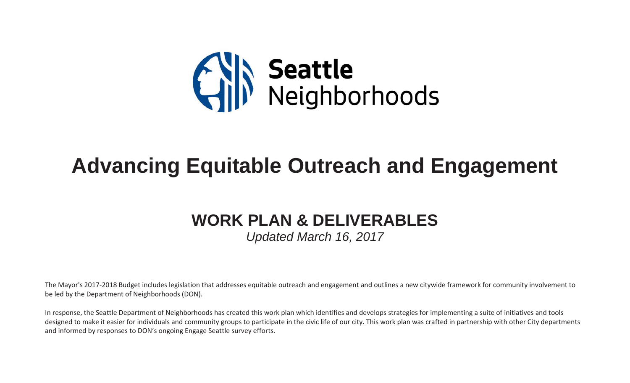

## **Advancing Equitable Outreach and Engagement**

## **WORK PLAN & DELIVERABLES**

*Updated March 16, 2017*

The Mayor's 2017-2018 Budget includes legislation that addresses equitable outreach and engagement and outlines a new citywide framework for community involvement to be led by the Department of Neighborhoods (DON).

In response, the Seattle Department of Neighborhoods has created this work plan which identifies and develops strategies for implementing a suite of initiatives and tools designed to make it easier for individuals and community groups to participate in the civic life of our city. This work plan was crafted in partnership with other City departments and informed by responses to DON's ongoing Engage Seattle survey efforts.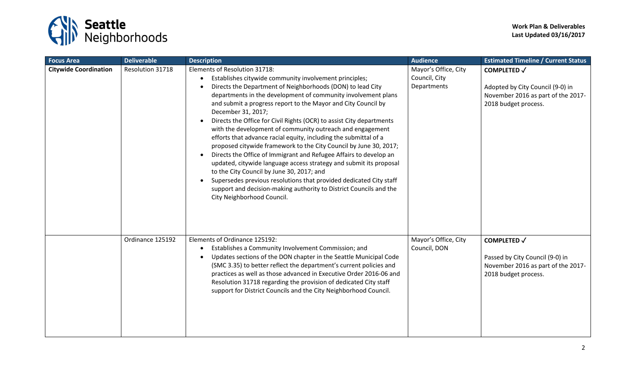

| <b>Focus Area</b>            | <b>Deliverable</b> | <b>Description</b>                                                                                                                                                                                                                                                                                                                                                                                                                                                                                                                                                                                                                                                                                                                                                                                                                                                                                                                                                         | <b>Audience</b>                                      | <b>Estimated Timeline / Current Status</b>                                                                           |
|------------------------------|--------------------|----------------------------------------------------------------------------------------------------------------------------------------------------------------------------------------------------------------------------------------------------------------------------------------------------------------------------------------------------------------------------------------------------------------------------------------------------------------------------------------------------------------------------------------------------------------------------------------------------------------------------------------------------------------------------------------------------------------------------------------------------------------------------------------------------------------------------------------------------------------------------------------------------------------------------------------------------------------------------|------------------------------------------------------|----------------------------------------------------------------------------------------------------------------------|
| <b>Citywide Coordination</b> | Resolution 31718   | Elements of Resolution 31718:<br>Establishes citywide community involvement principles;<br>$\bullet$<br>Directs the Department of Neighborhoods (DON) to lead City<br>departments in the development of community involvement plans<br>and submit a progress report to the Mayor and City Council by<br>December 31, 2017;<br>Directs the Office for Civil Rights (OCR) to assist City departments<br>with the development of community outreach and engagement<br>efforts that advance racial equity, including the submittal of a<br>proposed citywide framework to the City Council by June 30, 2017;<br>Directs the Office of Immigrant and Refugee Affairs to develop an<br>updated, citywide language access strategy and submit its proposal<br>to the City Council by June 30, 2017; and<br>Supersedes previous resolutions that provided dedicated City staff<br>support and decision-making authority to District Councils and the<br>City Neighborhood Council. | Mayor's Office, City<br>Council, City<br>Departments | <b>COMPLETED √</b><br>Adopted by City Council (9-0) in<br>November 2016 as part of the 2017-<br>2018 budget process. |
|                              | Ordinance 125192   | Elements of Ordinance 125192:<br>Establishes a Community Involvement Commission; and<br>$\bullet$<br>Updates sections of the DON chapter in the Seattle Municipal Code<br>(SMC 3.35) to better reflect the department's current policies and<br>practices as well as those advanced in Executive Order 2016-06 and<br>Resolution 31718 regarding the provision of dedicated City staff<br>support for District Councils and the City Neighborhood Council.                                                                                                                                                                                                                                                                                                                                                                                                                                                                                                                 | Mayor's Office, City<br>Council, DON                 | <b>COMPLETED √</b><br>Passed by City Council (9-0) in<br>November 2016 as part of the 2017-<br>2018 budget process.  |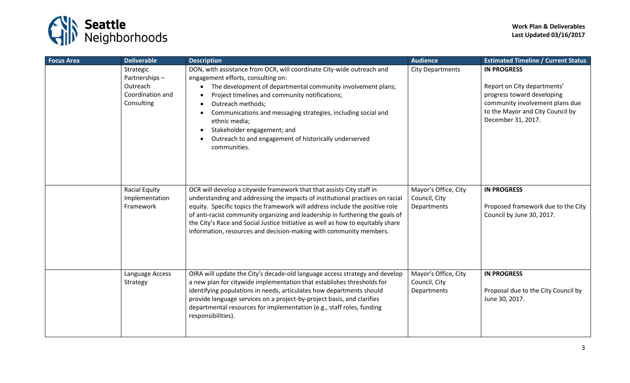

| <b>Focus Area</b> | <b>Deliverable</b>                                                       | <b>Description</b>                                                                                                                                                                                                                                                                                                                                                                                                                                                                   | <b>Audience</b>                                      | <b>Estimated Timeline / Current Status</b>                                                                                                                                   |
|-------------------|--------------------------------------------------------------------------|--------------------------------------------------------------------------------------------------------------------------------------------------------------------------------------------------------------------------------------------------------------------------------------------------------------------------------------------------------------------------------------------------------------------------------------------------------------------------------------|------------------------------------------------------|------------------------------------------------------------------------------------------------------------------------------------------------------------------------------|
|                   | Strategic<br>Partnerships-<br>Outreach<br>Coordination and<br>Consulting | DON, with assistance from OCR, will coordinate City-wide outreach and<br>engagement efforts, consulting on:<br>The development of departmental community involvement plans;<br>Project timelines and community notifications;<br>$\bullet$<br>Outreach methods;<br>Communications and messaging strategies, including social and<br>ethnic media;<br>Stakeholder engagement; and<br>$\bullet$<br>Outreach to and engagement of historically underserved<br>$\bullet$<br>communities. | <b>City Departments</b>                              | <b>IN PROGRESS</b><br>Report on City departments'<br>progress toward developing<br>community involvement plans due<br>to the Mayor and City Council by<br>December 31, 2017. |
|                   | <b>Racial Equity</b><br>Implementation<br>Framework                      | OCR will develop a citywide framework that that assists City staff in<br>understanding and addressing the impacts of institutional practices on racial<br>equity. Specific topics the framework will address include the positive role<br>of anti-racist community organizing and leadership in furthering the goals of<br>the City's Race and Social Justice Initiative as well as how to equitably share<br>information, resources and decision-making with community members.     | Mayor's Office, City<br>Council, City<br>Departments | <b>IN PROGRESS</b><br>Proposed framework due to the City<br>Council by June 30, 2017.                                                                                        |
|                   | Language Access<br>Strategy                                              | OIRA will update the City's decade-old language access strategy and develop<br>a new plan for citywide implementation that establishes thresholds for<br>identifying populations in needs, articulates how departments should<br>provide language services on a project-by-project basis, and clarifies<br>departmental resources for implementation (e.g., staff roles, funding<br>responsibilities).                                                                               | Mayor's Office, City<br>Council, City<br>Departments | <b>IN PROGRESS</b><br>Proposal due to the City Council by<br>June 30, 2017.                                                                                                  |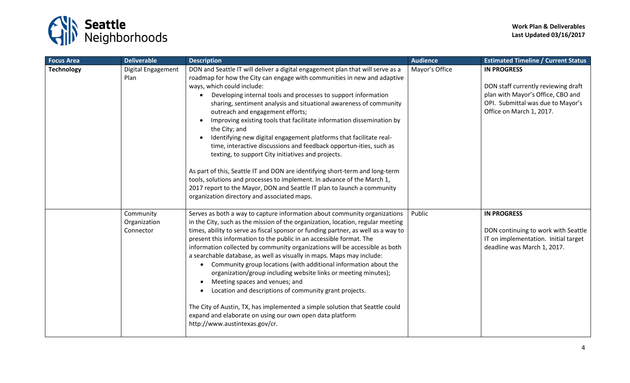

| <b>Focus Area</b> | <b>Deliverable</b>                     | <b>Description</b>                                                                                                                                                                                                                                                                                                                                                                                                                                                                                                                                                                                                                                                                                                                                                                                                                                                                                                                                                 | <b>Audience</b> | <b>Estimated Timeline / Current Status</b>                                                                                                                      |
|-------------------|----------------------------------------|--------------------------------------------------------------------------------------------------------------------------------------------------------------------------------------------------------------------------------------------------------------------------------------------------------------------------------------------------------------------------------------------------------------------------------------------------------------------------------------------------------------------------------------------------------------------------------------------------------------------------------------------------------------------------------------------------------------------------------------------------------------------------------------------------------------------------------------------------------------------------------------------------------------------------------------------------------------------|-----------------|-----------------------------------------------------------------------------------------------------------------------------------------------------------------|
| <b>Technology</b> | Digital Engagement<br>Plan             | DON and Seattle IT will deliver a digital engagement plan that will serve as a<br>roadmap for how the City can engage with communities in new and adaptive<br>ways, which could include:<br>Developing internal tools and processes to support information<br>sharing, sentiment analysis and situational awareness of community<br>outreach and engagement efforts;<br>Improving existing tools that facilitate information dissemination by<br>$\bullet$<br>the City; and<br>Identifying new digital engagement platforms that facilitate real-<br>time, interactive discussions and feedback opportun-ities, such as<br>texting, to support City initiatives and projects.<br>As part of this, Seattle IT and DON are identifying short-term and long-term<br>tools, solutions and processes to implement. In advance of the March 1,<br>2017 report to the Mayor, DON and Seattle IT plan to launch a community<br>organization directory and associated maps. | Mayor's Office  | <b>IN PROGRESS</b><br>DON staff currently reviewing draft<br>plan with Mayor's Office, CBO and<br>OPI. Submittal was due to Mayor's<br>Office on March 1, 2017. |
|                   | Community<br>Organization<br>Connector | Serves as both a way to capture information about community organizations<br>in the City, such as the mission of the organization, location, regular meeting<br>times, ability to serve as fiscal sponsor or funding partner, as well as a way to<br>present this information to the public in an accessible format. The<br>information collected by community organizations will be accessible as both<br>a searchable database, as well as visually in maps. Maps may include:<br>Community group locations (with additional information about the<br>$\bullet$<br>organization/group including website links or meeting minutes);<br>Meeting spaces and venues; and<br>$\bullet$<br>Location and descriptions of community grant projects.<br>The City of Austin, TX, has implemented a simple solution that Seattle could<br>expand and elaborate on using our own open data platform<br>http://www.austintexas.gov/cr.                                        | Public          | <b>IN PROGRESS</b><br>DON continuing to work with Seattle<br>IT on implementation. Initial target<br>deadline was March 1, 2017.                                |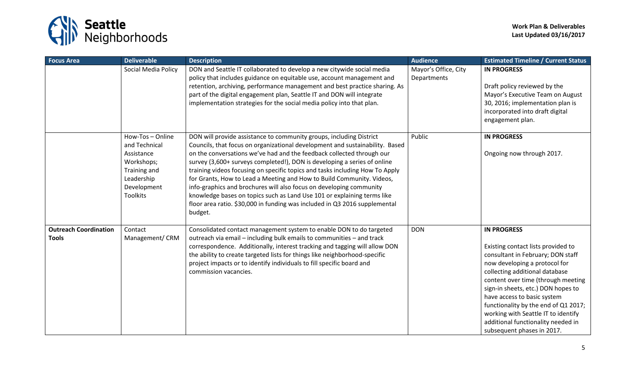

| <b>Focus Area</b>                            | <b>Deliverable</b>                                                                                                          | <b>Description</b>                                                                                                                                                                                                                                                                                                                                                                                                                                                                                                                                                                                                                                                                                           | <b>Audience</b>                     | <b>Estimated Timeline / Current Status</b>                                                                                                                                                                                                                                                                                                                                                                                     |
|----------------------------------------------|-----------------------------------------------------------------------------------------------------------------------------|--------------------------------------------------------------------------------------------------------------------------------------------------------------------------------------------------------------------------------------------------------------------------------------------------------------------------------------------------------------------------------------------------------------------------------------------------------------------------------------------------------------------------------------------------------------------------------------------------------------------------------------------------------------------------------------------------------------|-------------------------------------|--------------------------------------------------------------------------------------------------------------------------------------------------------------------------------------------------------------------------------------------------------------------------------------------------------------------------------------------------------------------------------------------------------------------------------|
|                                              | Social Media Policy                                                                                                         | DON and Seattle IT collaborated to develop a new citywide social media<br>policy that includes guidance on equitable use, account management and<br>retention, archiving, performance management and best practice sharing. As<br>part of the digital engagement plan, Seattle IT and DON will integrate<br>implementation strategies for the social media policy into that plan.                                                                                                                                                                                                                                                                                                                            | Mayor's Office, City<br>Departments | <b>IN PROGRESS</b><br>Draft policy reviewed by the<br>Mayor's Executive Team on August<br>30, 2016; implementation plan is<br>incorporated into draft digital<br>engagement plan.                                                                                                                                                                                                                                              |
|                                              | How-Tos-Online<br>and Technical<br>Assistance<br>Workshops;<br>Training and<br>Leadership<br>Development<br><b>Toolkits</b> | DON will provide assistance to community groups, including District<br>Councils, that focus on organizational development and sustainability. Based<br>on the conversations we've had and the feedback collected through our<br>survey (3,600+ surveys completed!), DON is developing a series of online<br>training videos focusing on specific topics and tasks including How To Apply<br>for Grants, How to Lead a Meeting and How to Build Community. Videos,<br>info-graphics and brochures will also focus on developing community<br>knowledge bases on topics such as Land Use 101 or explaining terms like<br>floor area ratio. \$30,000 in funding was included in Q3 2016 supplemental<br>budget. | Public                              | <b>IN PROGRESS</b><br>Ongoing now through 2017.                                                                                                                                                                                                                                                                                                                                                                                |
| <b>Outreach Coordination</b><br><b>Tools</b> | Contact<br>Management/ CRM                                                                                                  | Consolidated contact management system to enable DON to do targeted<br>outreach via email - including bulk emails to communities - and track<br>correspondence. Additionally, interest tracking and tagging will allow DON<br>the ability to create targeted lists for things like neighborhood-specific<br>project impacts or to identify individuals to fill specific board and<br>commission vacancies.                                                                                                                                                                                                                                                                                                   | <b>DON</b>                          | <b>IN PROGRESS</b><br>Existing contact lists provided to<br>consultant in February; DON staff<br>now developing a protocol for<br>collecting additional database<br>content over time (through meeting<br>sign-in sheets, etc.) DON hopes to<br>have access to basic system<br>functionality by the end of Q1 2017;<br>working with Seattle IT to identify<br>additional functionality needed in<br>subsequent phases in 2017. |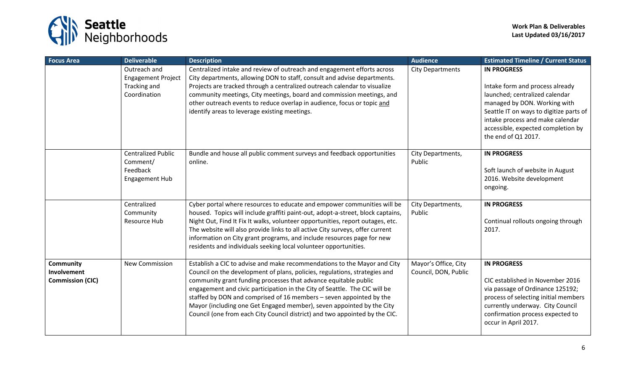

| <b>Focus Area</b>                                          | <b>Deliverable</b>                                                  | <b>Description</b>                                                                                                                                                                                                                                                                                                                                                                                                                                                                                                                     | <b>Audience</b>                              | <b>Estimated Timeline / Current Status</b>                                                                                                                                                                                         |
|------------------------------------------------------------|---------------------------------------------------------------------|----------------------------------------------------------------------------------------------------------------------------------------------------------------------------------------------------------------------------------------------------------------------------------------------------------------------------------------------------------------------------------------------------------------------------------------------------------------------------------------------------------------------------------------|----------------------------------------------|------------------------------------------------------------------------------------------------------------------------------------------------------------------------------------------------------------------------------------|
|                                                            | Outreach and<br><b>Engagement Project</b><br>Tracking and           | Centralized intake and review of outreach and engagement efforts across<br>City departments, allowing DON to staff, consult and advise departments.<br>Projects are tracked through a centralized outreach calendar to visualize                                                                                                                                                                                                                                                                                                       | <b>City Departments</b>                      | <b>IN PROGRESS</b><br>Intake form and process already                                                                                                                                                                              |
|                                                            | Coordination                                                        | community meetings, City meetings, board and commission meetings, and<br>other outreach events to reduce overlap in audience, focus or topic and<br>identify areas to leverage existing meetings.                                                                                                                                                                                                                                                                                                                                      |                                              | launched; centralized calendar<br>managed by DON. Working with<br>Seattle IT on ways to digitize parts of<br>intake process and make calendar<br>accessible, expected completion by<br>the end of Q1 2017.                         |
|                                                            | <b>Centralized Public</b><br>Comment/<br>Feedback<br>Engagement Hub | Bundle and house all public comment surveys and feedback opportunities<br>online.                                                                                                                                                                                                                                                                                                                                                                                                                                                      | City Departments,<br>Public                  | <b>IN PROGRESS</b><br>Soft launch of website in August<br>2016. Website development<br>ongoing.                                                                                                                                    |
|                                                            | Centralized<br>Community<br>Resource Hub                            | Cyber portal where resources to educate and empower communities will be<br>housed. Topics will include graffiti paint-out, adopt-a-street, block captains,<br>Night Out, Find It Fix It walks, volunteer opportunities, report outages, etc.<br>The website will also provide links to all active City surveys, offer current<br>information on City grant programs, and include resources page for new<br>residents and individuals seeking local volunteer opportunities.                                                            | City Departments,<br>Public                  | <b>IN PROGRESS</b><br>Continual rollouts ongoing through<br>2017.                                                                                                                                                                  |
| <b>Community</b><br>Involvement<br><b>Commission (CIC)</b> | <b>New Commission</b>                                               | Establish a CIC to advise and make recommendations to the Mayor and City<br>Council on the development of plans, policies, regulations, strategies and<br>community grant funding processes that advance equitable public<br>engagement and civic participation in the City of Seattle. The CIC will be<br>staffed by DON and comprised of 16 members - seven appointed by the<br>Mayor (including one Get Engaged member), seven appointed by the City<br>Council (one from each City Council district) and two appointed by the CIC. | Mayor's Office, City<br>Council, DON, Public | <b>IN PROGRESS</b><br>CIC established in November 2016<br>via passage of Ordinance 125192;<br>process of selecting initial members<br>currently underway. City Council<br>confirmation process expected to<br>occur in April 2017. |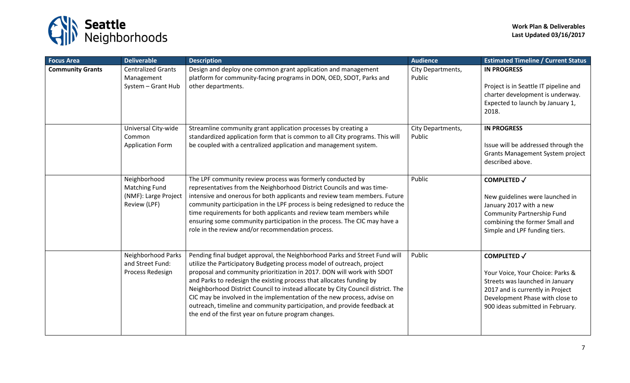

| <b>Focus Area</b>       | <b>Deliverable</b>                                                           | <b>Description</b>                                                                                                                                                                                                                                                                                                                                                                                                                                                                                                                                                                                      | <b>Audience</b>             | <b>Estimated Timeline / Current Status</b>                                                                                                                                                           |
|-------------------------|------------------------------------------------------------------------------|---------------------------------------------------------------------------------------------------------------------------------------------------------------------------------------------------------------------------------------------------------------------------------------------------------------------------------------------------------------------------------------------------------------------------------------------------------------------------------------------------------------------------------------------------------------------------------------------------------|-----------------------------|------------------------------------------------------------------------------------------------------------------------------------------------------------------------------------------------------|
| <b>Community Grants</b> | <b>Centralized Grants</b><br>Management<br>System - Grant Hub                | Design and deploy one common grant application and management<br>platform for community-facing programs in DON, OED, SDOT, Parks and<br>other departments.                                                                                                                                                                                                                                                                                                                                                                                                                                              | City Departments,<br>Public | <b>IN PROGRESS</b><br>Project is in Seattle IT pipeline and<br>charter development is underway.<br>Expected to launch by January 1,<br>2018.                                                         |
|                         | Universal City-wide<br>Common<br><b>Application Form</b>                     | Streamline community grant application processes by creating a<br>standardized application form that is common to all City programs. This will<br>be coupled with a centralized application and management system.                                                                                                                                                                                                                                                                                                                                                                                      | City Departments,<br>Public | <b>IN PROGRESS</b><br>Issue will be addressed through the<br>Grants Management System project<br>described above.                                                                                    |
|                         | Neighborhood<br><b>Matching Fund</b><br>(NMF): Large Project<br>Review (LPF) | The LPF community review process was formerly conducted by<br>representatives from the Neighborhood District Councils and was time-<br>intensive and onerous for both applicants and review team members. Future<br>community participation in the LPF process is being redesigned to reduce the<br>time requirements for both applicants and review team members while<br>ensuring some community participation in the process. The CIC may have a<br>role in the review and/or recommendation process.                                                                                                | Public                      | <b>COMPLETED √</b><br>New guidelines were launched in<br>January 2017 with a new<br><b>Community Partnership Fund</b><br>combining the former Small and<br>Simple and LPF funding tiers.             |
|                         | Neighborhood Parks<br>and Street Fund:<br>Process Redesign                   | Pending final budget approval, the Neighborhood Parks and Street Fund will<br>utilize the Participatory Budgeting process model of outreach, project<br>proposal and community prioritization in 2017. DON will work with SDOT<br>and Parks to redesign the existing process that allocates funding by<br>Neighborhood District Council to instead allocate by City Council district. The<br>CIC may be involved in the implementation of the new process, advise on<br>outreach, timeline and community participation, and provide feedback at<br>the end of the first year on future program changes. | Public                      | <b>COMPLETED √</b><br>Your Voice, Your Choice: Parks &<br>Streets was launched in January<br>2017 and is currently in Project<br>Development Phase with close to<br>900 ideas submitted in February. |